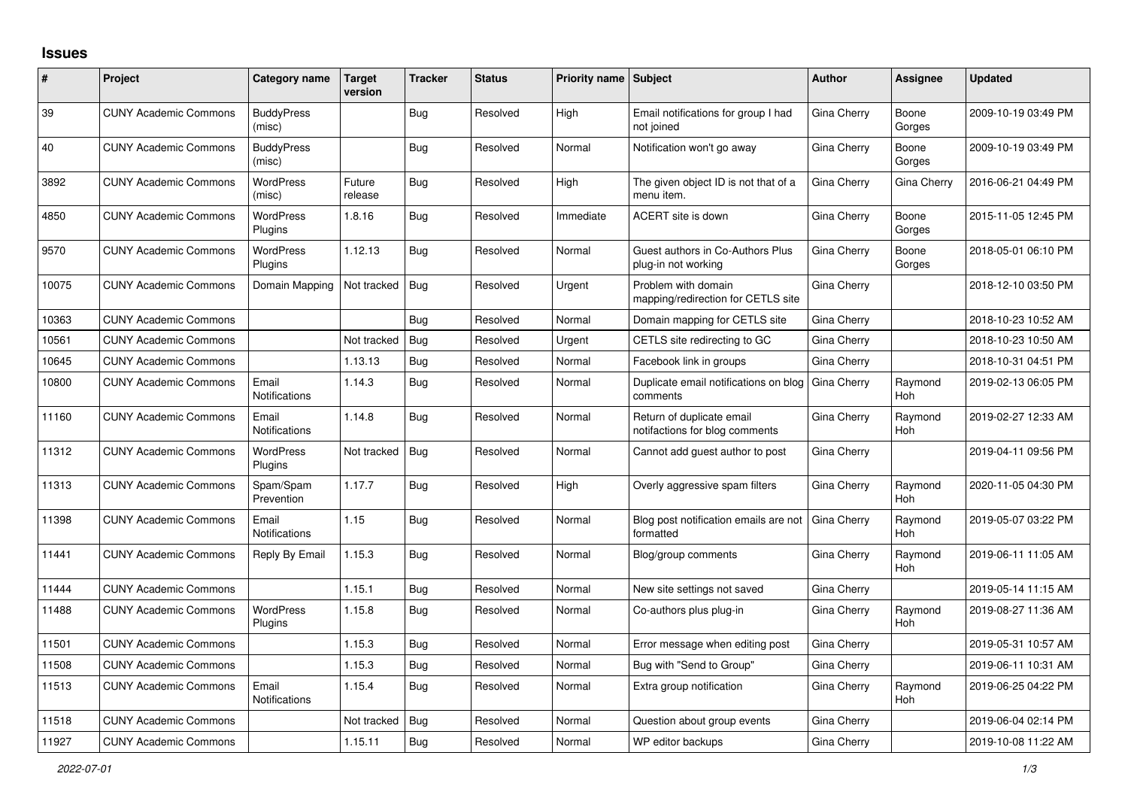## **Issues**

| #     | Project                      | Category name                 | <b>Target</b><br>version | <b>Tracker</b> | <b>Status</b> | <b>Priority name Subject</b> |                                                             | <b>Author</b> | Assignee              | <b>Updated</b>      |
|-------|------------------------------|-------------------------------|--------------------------|----------------|---------------|------------------------------|-------------------------------------------------------------|---------------|-----------------------|---------------------|
| 39    | <b>CUNY Academic Commons</b> | <b>BuddyPress</b><br>(misc)   |                          | <b>Bug</b>     | Resolved      | High                         | Email notifications for group I had<br>not joined           | Gina Cherry   | Boone<br>Gorges       | 2009-10-19 03:49 PM |
| 40    | <b>CUNY Academic Commons</b> | <b>BuddyPress</b><br>(misc)   |                          | Bug            | Resolved      | Normal                       | Notification won't go away                                  | Gina Cherry   | Boone<br>Gorges       | 2009-10-19 03:49 PM |
| 3892  | <b>CUNY Academic Commons</b> | <b>WordPress</b><br>(misc)    | Future<br>release        | <b>Bug</b>     | Resolved      | High                         | The given object ID is not that of a<br>menu item.          | Gina Cherry   | Gina Cherry           | 2016-06-21 04:49 PM |
| 4850  | <b>CUNY Academic Commons</b> | <b>WordPress</b><br>Plugins   | 1.8.16                   | Bug            | Resolved      | Immediate                    | ACERT site is down                                          | Gina Cherry   | Boone<br>Gorges       | 2015-11-05 12:45 PM |
| 9570  | <b>CUNY Academic Commons</b> | <b>WordPress</b><br>Plugins   | 1.12.13                  | <b>Bug</b>     | Resolved      | Normal                       | Guest authors in Co-Authors Plus<br>plug-in not working     | Gina Cherry   | Boone<br>Gorges       | 2018-05-01 06:10 PM |
| 10075 | <b>CUNY Academic Commons</b> | Domain Mapping                | Not tracked              | Bug            | Resolved      | Urgent                       | Problem with domain<br>mapping/redirection for CETLS site   | Gina Cherry   |                       | 2018-12-10 03:50 PM |
| 10363 | <b>CUNY Academic Commons</b> |                               |                          | Bug            | Resolved      | Normal                       | Domain mapping for CETLS site                               | Gina Cherry   |                       | 2018-10-23 10:52 AM |
| 10561 | <b>CUNY Academic Commons</b> |                               | Not tracked              | Bug            | Resolved      | Urgent                       | CETLS site redirecting to GC                                | Gina Cherry   |                       | 2018-10-23 10:50 AM |
| 10645 | <b>CUNY Academic Commons</b> |                               | 1.13.13                  | <b>Bug</b>     | Resolved      | Normal                       | Facebook link in groups                                     | Gina Cherry   |                       | 2018-10-31 04:51 PM |
| 10800 | <b>CUNY Academic Commons</b> | Email<br><b>Notifications</b> | 1.14.3                   | Bug            | Resolved      | Normal                       | Duplicate email notifications on blog<br>comments           | Gina Cherry   | Raymond<br>Hoh        | 2019-02-13 06:05 PM |
| 11160 | <b>CUNY Academic Commons</b> | Email<br><b>Notifications</b> | 1.14.8                   | Bug            | Resolved      | Normal                       | Return of duplicate email<br>notifactions for blog comments | Gina Cherry   | Raymond<br>Hoh        | 2019-02-27 12:33 AM |
| 11312 | <b>CUNY Academic Commons</b> | <b>WordPress</b><br>Plugins   | Not tracked              | Bug            | Resolved      | Normal                       | Cannot add guest author to post                             | Gina Cherry   |                       | 2019-04-11 09:56 PM |
| 11313 | <b>CUNY Academic Commons</b> | Spam/Spam<br>Prevention       | 1.17.7                   | <b>Bug</b>     | Resolved      | High                         | Overly aggressive spam filters                              | Gina Cherry   | Raymond<br>Hoh        | 2020-11-05 04:30 PM |
| 11398 | <b>CUNY Academic Commons</b> | Email<br>Notifications        | 1.15                     | <b>Bug</b>     | Resolved      | Normal                       | Blog post notification emails are not<br>formatted          | Gina Cherry   | Raymond<br><b>Hoh</b> | 2019-05-07 03:22 PM |
| 11441 | <b>CUNY Academic Commons</b> | Reply By Email                | 1.15.3                   | Bug            | Resolved      | Normal                       | Blog/group comments                                         | Gina Cherry   | Raymond<br>Hoh        | 2019-06-11 11:05 AM |
| 11444 | <b>CUNY Academic Commons</b> |                               | 1.15.1                   | Bug            | Resolved      | Normal                       | New site settings not saved                                 | Gina Cherry   |                       | 2019-05-14 11:15 AM |
| 11488 | <b>CUNY Academic Commons</b> | <b>WordPress</b><br>Plugins   | 1.15.8                   | <b>Bug</b>     | Resolved      | Normal                       | Co-authors plus plug-in                                     | Gina Cherry   | Raymond<br>Hoh        | 2019-08-27 11:36 AM |
| 11501 | <b>CUNY Academic Commons</b> |                               | 1.15.3                   | Bug            | Resolved      | Normal                       | Error message when editing post                             | Gina Cherry   |                       | 2019-05-31 10:57 AM |
| 11508 | <b>CUNY Academic Commons</b> |                               | 1.15.3                   | Bug            | Resolved      | Normal                       | Bug with "Send to Group"                                    | Gina Cherry   |                       | 2019-06-11 10:31 AM |
| 11513 | <b>CUNY Academic Commons</b> | Email<br><b>Notifications</b> | 1.15.4                   | <b>Bug</b>     | Resolved      | Normal                       | Extra group notification                                    | Gina Cherry   | Raymond<br>Hoh        | 2019-06-25 04:22 PM |
| 11518 | <b>CUNY Academic Commons</b> |                               | Not tracked              | <b>Bug</b>     | Resolved      | Normal                       | Question about group events                                 | Gina Cherry   |                       | 2019-06-04 02:14 PM |
| 11927 | <b>CUNY Academic Commons</b> |                               | 1.15.11                  | <b>Bug</b>     | Resolved      | Normal                       | WP editor backups                                           | Gina Cherry   |                       | 2019-10-08 11:22 AM |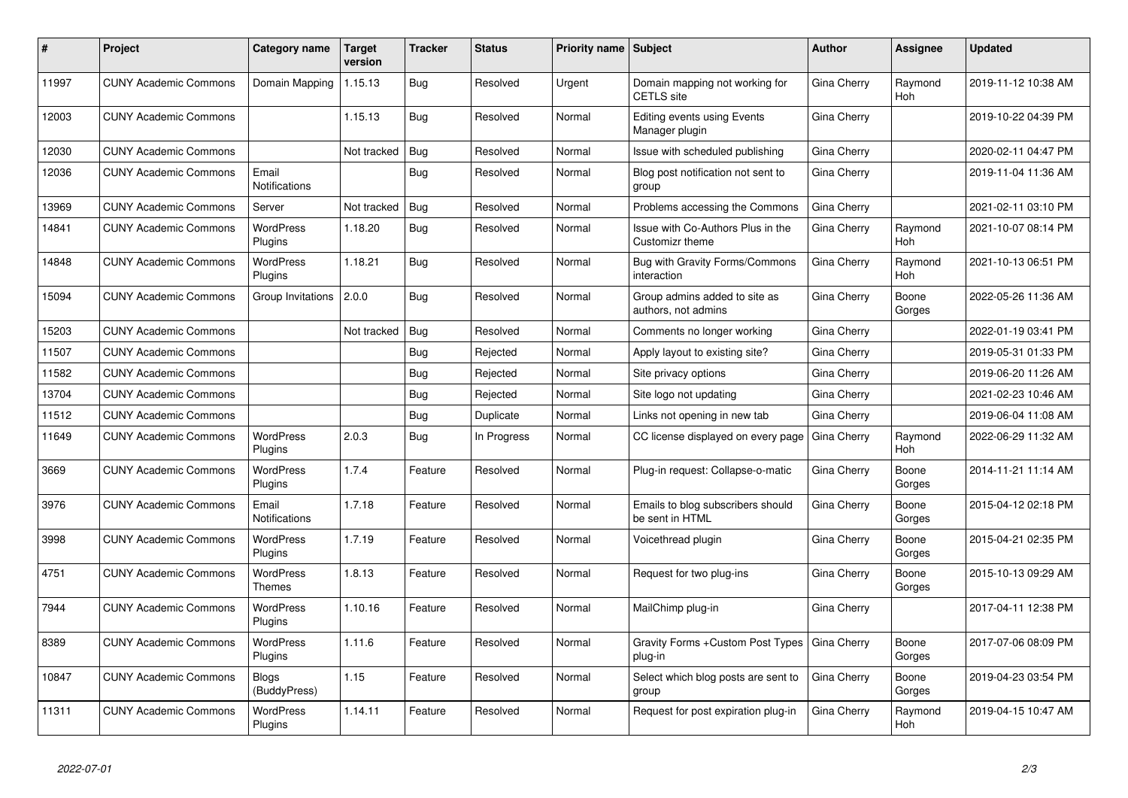| #     | Project                      | <b>Category name</b>          | <b>Target</b><br>version | <b>Tracker</b> | <b>Status</b> | <b>Priority name   Subject</b> |                                                      | <b>Author</b>      | Assignee        | <b>Updated</b>      |
|-------|------------------------------|-------------------------------|--------------------------|----------------|---------------|--------------------------------|------------------------------------------------------|--------------------|-----------------|---------------------|
| 11997 | <b>CUNY Academic Commons</b> | Domain Mapping                | 1.15.13                  | Bug            | Resolved      | Urgent                         | Domain mapping not working for<br><b>CETLS</b> site  | Gina Cherry        | Raymond<br>Hoh  | 2019-11-12 10:38 AM |
| 12003 | <b>CUNY Academic Commons</b> |                               | 1.15.13                  | Bug            | Resolved      | Normal                         | Editing events using Events<br>Manager plugin        | Gina Cherry        |                 | 2019-10-22 04:39 PM |
| 12030 | <b>CUNY Academic Commons</b> |                               | Not tracked              | <b>Bug</b>     | Resolved      | Normal                         | Issue with scheduled publishing                      | Gina Cherry        |                 | 2020-02-11 04:47 PM |
| 12036 | <b>CUNY Academic Commons</b> | Email<br>Notifications        |                          | Bug            | Resolved      | Normal                         | Blog post notification not sent to<br>group          | Gina Cherry        |                 | 2019-11-04 11:36 AM |
| 13969 | <b>CUNY Academic Commons</b> | Server                        | Not tracked              | Bug            | Resolved      | Normal                         | Problems accessing the Commons                       | Gina Cherry        |                 | 2021-02-11 03:10 PM |
| 14841 | <b>CUNY Academic Commons</b> | <b>WordPress</b><br>Plugins   | 1.18.20                  | Bug            | Resolved      | Normal                         | Issue with Co-Authors Plus in the<br>Customizr theme | Gina Cherry        | Raymond<br>Hoh  | 2021-10-07 08:14 PM |
| 14848 | <b>CUNY Academic Commons</b> | <b>WordPress</b><br>Plugins   | 1.18.21                  | Bug            | Resolved      | Normal                         | Bug with Gravity Forms/Commons<br>interaction        | Gina Cherry        | Raymond<br>Hoh  | 2021-10-13 06:51 PM |
| 15094 | <b>CUNY Academic Commons</b> | Group Invitations             | 2.0.0                    | Bug            | Resolved      | Normal                         | Group admins added to site as<br>authors, not admins | Gina Cherry        | Boone<br>Gorges | 2022-05-26 11:36 AM |
| 15203 | <b>CUNY Academic Commons</b> |                               | Not tracked              | Bug            | Resolved      | Normal                         | Comments no longer working                           | Gina Cherry        |                 | 2022-01-19 03:41 PM |
| 11507 | <b>CUNY Academic Commons</b> |                               |                          | Bug            | Rejected      | Normal                         | Apply layout to existing site?                       | Gina Cherry        |                 | 2019-05-31 01:33 PM |
| 11582 | <b>CUNY Academic Commons</b> |                               |                          | Bug            | Rejected      | Normal                         | Site privacy options                                 | Gina Cherry        |                 | 2019-06-20 11:26 AM |
| 13704 | <b>CUNY Academic Commons</b> |                               |                          | <b>Bug</b>     | Rejected      | Normal                         | Site logo not updating                               | Gina Cherry        |                 | 2021-02-23 10:46 AM |
| 11512 | <b>CUNY Academic Commons</b> |                               |                          | <b>Bug</b>     | Duplicate     | Normal                         | Links not opening in new tab                         | Gina Cherry        |                 | 2019-06-04 11:08 AM |
| 11649 | <b>CUNY Academic Commons</b> | <b>WordPress</b><br>Plugins   | 2.0.3                    | <b>Bug</b>     | In Progress   | Normal                         | CC license displayed on every page                   | <b>Gina Cherry</b> | Raymond<br>Hoh  | 2022-06-29 11:32 AM |
| 3669  | <b>CUNY Academic Commons</b> | <b>WordPress</b><br>Plugins   | 1.7.4                    | Feature        | Resolved      | Normal                         | Plug-in request: Collapse-o-matic                    | Gina Cherry        | Boone<br>Gorges | 2014-11-21 11:14 AM |
| 3976  | <b>CUNY Academic Commons</b> | Email<br><b>Notifications</b> | 1.7.18                   | Feature        | Resolved      | Normal                         | Emails to blog subscribers should<br>be sent in HTML | Gina Cherry        | Boone<br>Gorges | 2015-04-12 02:18 PM |
| 3998  | <b>CUNY Academic Commons</b> | <b>WordPress</b><br>Plugins   | 1.7.19                   | Feature        | Resolved      | Normal                         | Voicethread plugin                                   | Gina Cherry        | Boone<br>Gorges | 2015-04-21 02:35 PM |
| 4751  | <b>CUNY Academic Commons</b> | <b>WordPress</b><br>Themes    | 1.8.13                   | Feature        | Resolved      | Normal                         | Request for two plug-ins                             | Gina Cherry        | Boone<br>Gorges | 2015-10-13 09:29 AM |
| 7944  | <b>CUNY Academic Commons</b> | <b>WordPress</b><br>Plugins   | 1.10.16                  | Feature        | Resolved      | Normal                         | MailChimp plug-in                                    | Gina Cherry        |                 | 2017-04-11 12:38 PM |
| 8389  | <b>CUNY Academic Commons</b> | <b>WordPress</b><br>Plugins   | 1.11.6                   | Feature        | Resolved      | Normal                         | Gravity Forms + Custom Post Types<br>plug-in         | Gina Cherry        | Boone<br>Gorges | 2017-07-06 08:09 PM |
| 10847 | <b>CUNY Academic Commons</b> | <b>Blogs</b><br>(BuddyPress)  | 1.15                     | Feature        | Resolved      | Normal                         | Select which blog posts are sent to<br>group         | Gina Cherry        | Boone<br>Gorges | 2019-04-23 03:54 PM |
| 11311 | <b>CUNY Academic Commons</b> | <b>WordPress</b><br>Plugins   | 1.14.11                  | Feature        | Resolved      | Normal                         | Request for post expiration plug-in                  | Gina Cherry        | Raymond<br>Hoh  | 2019-04-15 10:47 AM |